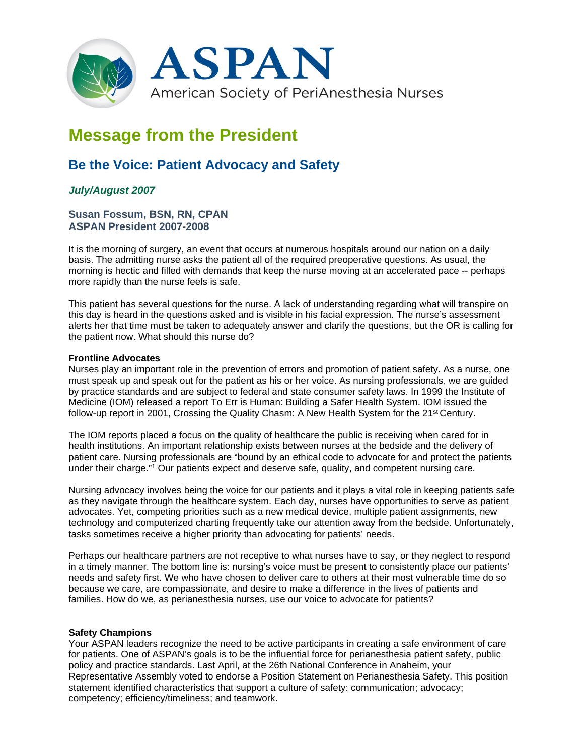

# **Message from the President**

## **Be the Voice: Patient Advocacy and Safety**

### *July/August 2007*

#### **Susan Fossum, BSN, RN, CPAN ASPAN President 2007-2008**

It is the morning of surgery, an event that occurs at numerous hospitals around our nation on a daily basis. The admitting nurse asks the patient all of the required preoperative questions. As usual, the morning is hectic and filled with demands that keep the nurse moving at an accelerated pace -- perhaps more rapidly than the nurse feels is safe.

This patient has several questions for the nurse. A lack of understanding regarding what will transpire on this day is heard in the questions asked and is visible in his facial expression. The nurse's assessment alerts her that time must be taken to adequately answer and clarify the questions, but the OR is calling for the patient now. What should this nurse do?

#### **Frontline Advocates**

Nurses play an important role in the prevention of errors and promotion of patient safety. As a nurse, one must speak up and speak out for the patient as his or her voice. As nursing professionals, we are guided by practice standards and are subject to federal and state consumer safety laws. In 1999 the Institute of Medicine (IOM) released a report To Err is Human: Building a Safer Health System. IOM issued the follow-up report in 2001, Crossing the Quality Chasm: A New Health System for the 21st Century.

The IOM reports placed a focus on the quality of healthcare the public is receiving when cared for in health institutions. An important relationship exists between nurses at the bedside and the delivery of patient care. Nursing professionals are "bound by an ethical code to advocate for and protect the patients under their charge."1 Our patients expect and deserve safe, quality, and competent nursing care.

Nursing advocacy involves being the voice for our patients and it plays a vital role in keeping patients safe as they navigate through the healthcare system. Each day, nurses have opportunities to serve as patient advocates. Yet, competing priorities such as a new medical device, multiple patient assignments, new technology and computerized charting frequently take our attention away from the bedside. Unfortunately, tasks sometimes receive a higher priority than advocating for patients' needs.

Perhaps our healthcare partners are not receptive to what nurses have to say, or they neglect to respond in a timely manner. The bottom line is: nursing's voice must be present to consistently place our patients' needs and safety first. We who have chosen to deliver care to others at their most vulnerable time do so because we care, are compassionate, and desire to make a difference in the lives of patients and families. How do we, as perianesthesia nurses, use our voice to advocate for patients?

#### **Safety Champions**

Your ASPAN leaders recognize the need to be active participants in creating a safe environment of care for patients. One of ASPAN's goals is to be the influential force for perianesthesia patient safety, public policy and practice standards. Last April, at the 26th National Conference in Anaheim, your Representative Assembly voted to endorse a Position Statement on Perianesthesia Safety. This position statement identified characteristics that support a culture of safety: communication; advocacy; competency; efficiency/timeliness; and teamwork.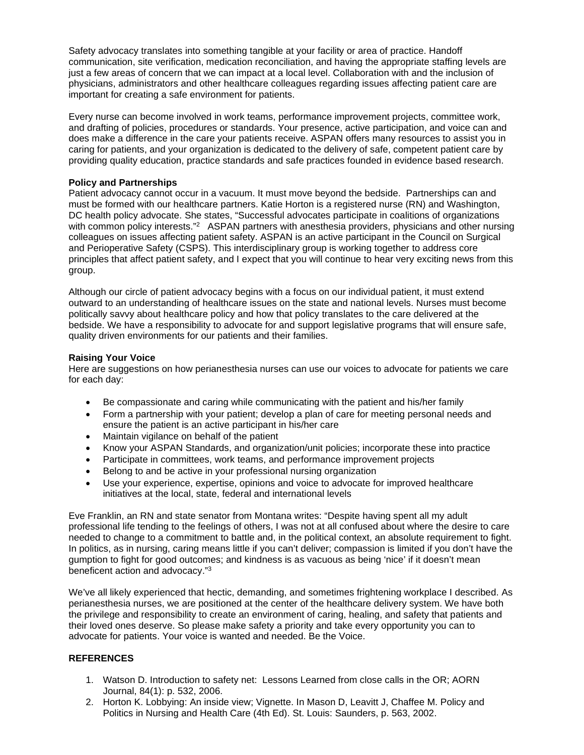Safety advocacy translates into something tangible at your facility or area of practice. Handoff communication, site verification, medication reconciliation, and having the appropriate staffing levels are just a few areas of concern that we can impact at a local level. Collaboration with and the inclusion of physicians, administrators and other healthcare colleagues regarding issues affecting patient care are important for creating a safe environment for patients.

Every nurse can become involved in work teams, performance improvement projects, committee work, and drafting of policies, procedures or standards. Your presence, active participation, and voice can and does make a difference in the care your patients receive. ASPAN offers many resources to assist you in caring for patients, and your organization is dedicated to the delivery of safe, competent patient care by providing quality education, practice standards and safe practices founded in evidence based research.

#### **Policy and Partnerships**

Patient advocacy cannot occur in a vacuum. It must move beyond the bedside. Partnerships can and must be formed with our healthcare partners. Katie Horton is a registered nurse (RN) and Washington, DC health policy advocate. She states, "Successful advocates participate in coalitions of organizations with common policy interests."<sup>2</sup> ASPAN partners with anesthesia providers, physicians and other nursing colleagues on issues affecting patient safety. ASPAN is an active participant in the Council on Surgical and Perioperative Safety (CSPS). This interdisciplinary group is working together to address core principles that affect patient safety, and I expect that you will continue to hear very exciting news from this group.

Although our circle of patient advocacy begins with a focus on our individual patient, it must extend outward to an understanding of healthcare issues on the state and national levels. Nurses must become politically savvy about healthcare policy and how that policy translates to the care delivered at the bedside. We have a responsibility to advocate for and support legislative programs that will ensure safe, quality driven environments for our patients and their families.

#### **Raising Your Voice**

Here are suggestions on how perianesthesia nurses can use our voices to advocate for patients we care for each day:

- Be compassionate and caring while communicating with the patient and his/her family
- Form a partnership with your patient; develop a plan of care for meeting personal needs and ensure the patient is an active participant in his/her care
- Maintain vigilance on behalf of the patient
- Know your ASPAN Standards, and organization/unit policies; incorporate these into practice
- Participate in committees, work teams, and performance improvement projects
- Belong to and be active in your professional nursing organization
- Use your experience, expertise, opinions and voice to advocate for improved healthcare initiatives at the local, state, federal and international levels

Eve Franklin, an RN and state senator from Montana writes: "Despite having spent all my adult professional life tending to the feelings of others, I was not at all confused about where the desire to care needed to change to a commitment to battle and, in the political context, an absolute requirement to fight. In politics, as in nursing, caring means little if you can't deliver; compassion is limited if you don't have the gumption to fight for good outcomes; and kindness is as vacuous as being 'nice' if it doesn't mean beneficent action and advocacy."3

We've all likely experienced that hectic, demanding, and sometimes frightening workplace I described. As perianesthesia nurses, we are positioned at the center of the healthcare delivery system. We have both the privilege and responsibility to create an environment of caring, healing, and safety that patients and their loved ones deserve. So please make safety a priority and take every opportunity you can to advocate for patients. Your voice is wanted and needed. Be the Voice.

#### **REFERENCES**

- 1. Watson D. Introduction to safety net: Lessons Learned from close calls in the OR; AORN Journal, 84(1): p. 532, 2006.
- 2. Horton K. Lobbying: An inside view; Vignette. In Mason D, Leavitt J, Chaffee M. Policy and Politics in Nursing and Health Care (4th Ed). St. Louis: Saunders, p. 563, 2002.